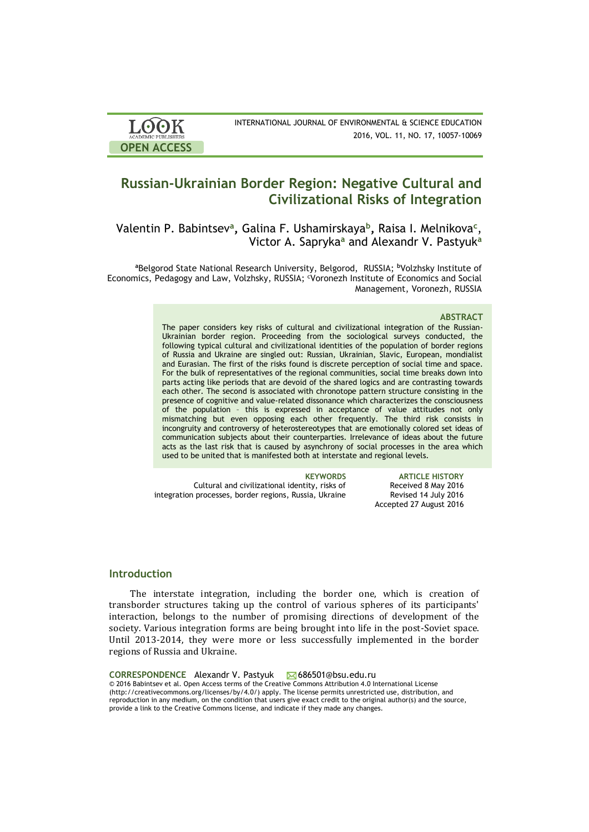

INTERNATIONAL JOURNAL OF ENVIRONMENTAL & SCIENCE EDUCATION 2016, VOL. 11, NO. 17, 10057-10069

# **Russian-Ukrainian Border Region: Negative Cultural and Civilizational Risks of Integration**

Valentin P. Babintsev**<sup>a</sup> ,** Galina F. Ushamirskaya**<sup>b</sup> ,** Raisa I. Melnikova**<sup>c</sup>** , Victor A. Sapryka**<sup>a</sup>** and Alexandr V. Pastyuk**<sup>a</sup>**

**<sup>a</sup>**Belgorod State National Research University, Belgorod, RUSSIA; **<sup>b</sup>**Volzhsky Institute of Economics, Pedagogy and Law, Volzhsky, RUSSIA; Voronezh Institute of Economics and Social Management, Voronezh, RUSSIA

### **ABSTRACT**

The paper considers key risks of cultural and civilizational integration of the Russian-Ukrainian border region. Proceeding from the sociological surveys conducted, the following typical cultural and civilizational identities of the population of border regions of Russia and Ukraine are singled out: Russian, Ukrainian, Slavic, European, mondialist and Eurasian. The first of the risks found is discrete perception of social time and space. For the bulk of representatives of the regional communities, social time breaks down into parts acting like periods that are devoid of the shared logics and are contrasting towards each other. The second is associated with chronotope pattern structure consisting in the presence of cognitive and value-related dissonance which characterizes the consciousness of the population – this is expressed in acceptance of value attitudes not only mismatching but even opposing each other frequently. The third risk consists in incongruity and controversy of heterostereotypes that are emotionally colored set ideas of communication subjects about their counterparties. Irrelevance of ideas about the future acts as the last risk that is caused by asynchrony of social processes in the area which used to be united that is manifested both at interstate and regional levels.

Cultural and civilizational identity, risks of integration processes, border regions, Russia, Ukraine

**KEYWORDS ARTICLE HISTORY** Received 8 May 2016 Revised 14 July 2016 Accepted 27 August 2016

## **Introduction**

The interstate integration, including the border one, which is creation of transborder structures taking up the control of various spheres of its participants' interaction, belongs to the number of promising directions of development of the society. Various integration forms are being brought into life in the post-Soviet space. Until 2013-2014, they were more or less successfully implemented in the border regions of Russia and Ukraine.

CORRESPONDENCE Alexandr V. Pastyuk **686501@bsu.edu.ru** © 2016 Babintsev et al. Open Access terms of the Creative Commons Attribution 4.0 International License (http://creativecommons.org/licenses/by/4.0/) apply. The license permits unrestricted use, distribution, and reproduction in any medium, on the condition that users give exact credit to the original author(s) and the source, provide a link to the Creative Commons license, and indicate if they made any changes.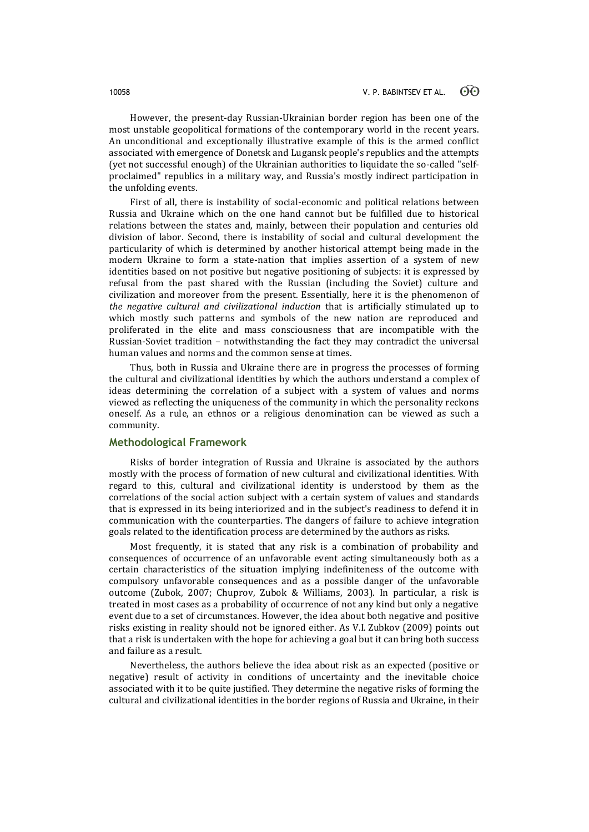However, the present-day Russian-Ukrainian border region has been one of the most unstable geopolitical formations of the contemporary world in the recent years. An unconditional and exceptionally illustrative example of this is the armed conflict associated with emergence of Donetsk and Lugansk people's republics and the attempts (yet not successful enough) of the Ukrainian authorities to liquidate the so-called "selfproclaimed" republics in a military way, and Russia's mostly indirect participation in the unfolding events.

First of all, there is instability of social-economic and political relations between Russia and Ukraine which on the one hand cannot but be fulfilled due to historical relations between the states and, mainly, between their population and centuries old division of labor. Second, there is instability of social and cultural development the particularity of which is determined by another historical attempt being made in the modern Ukraine to form a state-nation that implies assertion of a system of new identities based on not positive but negative positioning of subjects: it is expressed by refusal from the past shared with the Russian (including the Soviet) culture and civilization and moreover from the present. Essentially, here it is the phenomenon of *the negative cultural and civilizational induction* that is artificially stimulated up to which mostly such patterns and symbols of the new nation are reproduced and proliferated in the elite and mass consciousness that are incompatible with the Russian-Soviet tradition – notwithstanding the fact they may contradict the universal human values and norms and the common sense at times.

Thus, both in Russia and Ukraine there are in progress the processes of forming the cultural and civilizational identities by which the authors understand a complex of ideas determining the correlation of a subject with a system of values and norms viewed as reflecting the uniqueness of the community in which the personality reckons oneself. As a rule, an ethnos or a religious denomination can be viewed as such a community.

## **Methodological Framework**

Risks of border integration of Russia and Ukraine is associated by the authors mostly with the process of formation of new cultural and civilizational identities. With regard to this, cultural and civilizational identity is understood by them as the correlations of the social action subject with a certain system of values and standards that is expressed in its being interiorized and in the subject's readiness to defend it in communication with the counterparties. The dangers of failure to achieve integration goals related to the identification process are determined by the authors as risks.

Most frequently, it is stated that any risk is a combination of probability and consequences of occurrence of an unfavorable event acting simultaneously both as a certain characteristics of the situation implying indefiniteness of the outcome with compulsory unfavorable consequences and as a possible danger of the unfavorable outcome (Zubok, 2007; Chuprov, Zubok & Williams, 2003). In particular, a risk is treated in most cases as a probability of occurrence of not any kind but only a negative event due to a set of circumstances. However, the idea about both negative and positive risks existing in reality should not be ignored either. As V.I. Zubkov (2009) points out that a risk is undertaken with the hope for achieving a goal but it can bring both success and failure as a result.

Nevertheless, the authors believe the idea about risk as an expected (positive or negative) result of activity in conditions of uncertainty and the inevitable choice associated with it to be quite justified. They determine the negative risks of forming the cultural and civilizational identities in the border regions of Russia and Ukraine, in their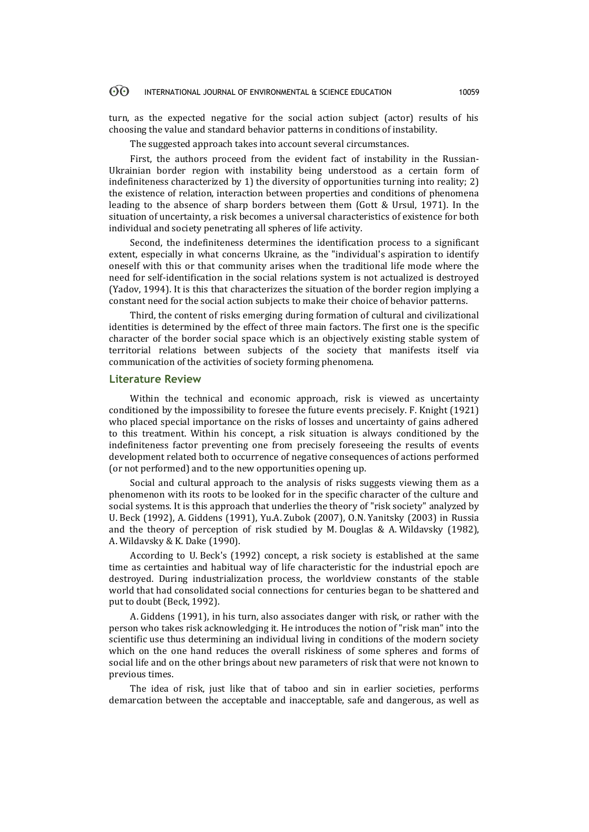### 60 INTERNATIONAL JOURNAL OF ENVIRONMENTAL & SCIENCE EDUCATION 10059

turn, as the expected negative for the social action subject (actor) results of his choosing the value and standard behavior patterns in conditions of instability.

The suggested approach takes into account several circumstances.

First, the authors proceed from the evident fact of instability in the Russian-Ukrainian border region with instability being understood as a certain form of indefiniteness characterized by 1) the diversity of opportunities turning into reality; 2) the existence of relation, interaction between properties and conditions of phenomena leading to the absence of sharp borders between them (Gott & Ursul, 1971). In the situation of uncertainty, a risk becomes a universal characteristics of existence for both individual and society penetrating all spheres of life activity.

Second, the indefiniteness determines the identification process to a significant extent, especially in what concerns Ukraine, as the "individual's aspiration to identify oneself with this or that community arises when the traditional life mode where the need for self-identification in the social relations system is not actualized is destroyed (Yadov, 1994). It is this that characterizes the situation of the border region implying a constant need for the social action subjects to make their choice of behavior patterns.

Third, the content of risks emerging during formation of cultural and civilizational identities is determined by the effect of three main factors. The first one is the specific character of the border social space which is an objectively existing stable system of territorial relations between subjects of the society that manifests itself via communication of the activities of society forming phenomena.

### **Literature Review**

Within the technical and economic approach, risk is viewed as uncertainty conditioned by the impossibility to foresee the future events precisely. F. Knight (1921) who placed special importance on the risks of losses and uncertainty of gains adhered to this treatment. Within his concept, a risk situation is always conditioned by the indefiniteness factor preventing one from precisely foreseeing the results of events development related both to occurrence of negative consequences of actions performed (or not performed) and to the new opportunities opening up.

Social and cultural approach to the analysis of risks suggests viewing them as a phenomenon with its roots to be looked for in the specific character of the culture and social systems. It is this approach that underlies the theory of "risk society" analyzed by U. Beck (1992), A. Giddens (1991), Yu.A. Zubok (2007), O.N. Yanitsky (2003) in Russia and the theory of perception of risk studied by M. Douglas & A. Wildavsky (1982), A. Wildavsky & K. Dake (1990).

According to U. Beck's (1992) concept, a risk society is established at the same time as certainties and habitual way of life characteristic for the industrial epoch are destroyed. During industrialization process, the worldview constants of the stable world that had consolidated social connections for centuries began to be shattered and put to doubt (Beck, 1992).

A. Giddens (1991), in his turn, also associates danger with risk, or rather with the person who takes risk acknowledging it. He introduces the notion of "risk man" into the scientific use thus determining an individual living in conditions of the modern society which on the one hand reduces the overall riskiness of some spheres and forms of social life and on the other brings about new parameters of risk that were not known to previous times.

The idea of risk, just like that of taboo and sin in earlier societies, performs demarcation between the acceptable and inacceptable, safe and dangerous, as well as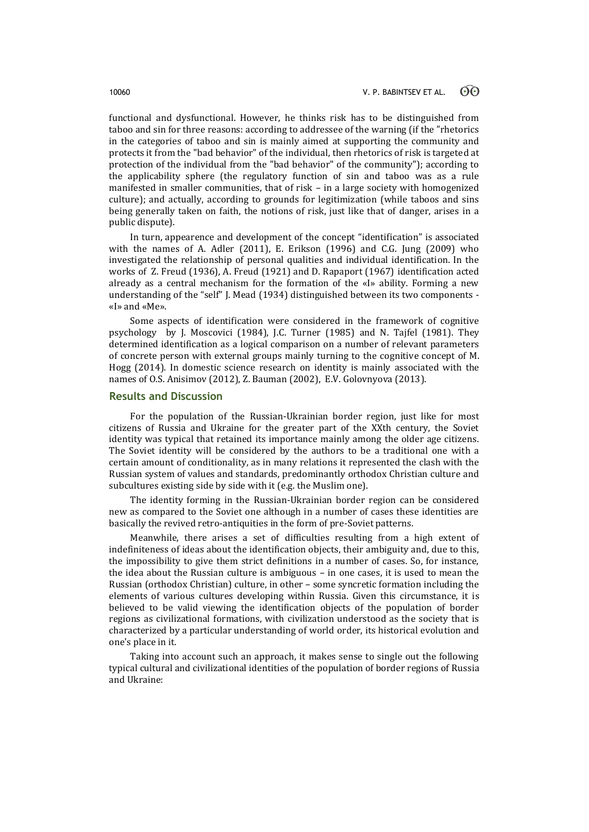functional and dysfunctional. However, he thinks risk has to be distinguished from taboo and sin for three reasons: according to addressee of the warning (if the "rhetorics in the categories of taboo and sin is mainly aimed at supporting the community and protects it from the "bad behavior" of the individual, then rhetorics of risk is targeted at protection of the individual from the "bad behavior" of the community"); according to the applicability sphere (the regulatory function of sin and taboo was as a rule manifested in smaller communities, that of risk – in a large society with homogenized culture); and actually, according to grounds for legitimization (while taboos and sins being generally taken on faith, the notions of risk, just like that of danger, arises in a public dispute).

In turn, appearence and development of the concept "identification" is associated with the names of A. Adler (2011), E. Erikson (1996) and C.G. Jung (2009) who investigated the relationship of personal qualities and individual identification. In the works of Z. Freud (1936), A. Freud (1921) and D. Rapaport (1967) identification acted already as a central mechanism for the formation of the «I» ability. Forming a new understanding of the "self" J. Mead (1934) distinguished between its two components - «I» and «Me».

Some aspects of identification were considered in the framework of cognitive psychology by J. Moscovici (1984), J.C. Turner (1985) and N. Tajfel (1981). They determined identification as a logical comparison on a number of relevant parameters of concrete person with external groups mainly turning to the cognitive concept of M. Hogg (2014). In domestic science research on identity is mainly associated with the names of O.S. Anisimov (2012), Z. Bauman (2002), E.V. Golovnyova (2013).

## **Results and Discussion**

For the population of the Russian-Ukrainian border region, just like for most citizens of Russia and Ukraine for the greater part of the XXth century, the Soviet identity was typical that retained its importance mainly among the older age citizens. The Soviet identity will be considered by the authors to be a traditional one with a certain amount of conditionality, as in many relations it represented the clash with the Russian system of values and standards, predominantly orthodox Christian culture and subcultures existing side by side with it (e.g. the Muslim one).

The identity forming in the Russian-Ukrainian border region can be considered new as compared to the Soviet one although in a number of cases these identities are basically the revived retro-antiquities in the form of pre-Soviet patterns.

Meanwhile, there arises a set of difficulties resulting from a high extent of indefiniteness of ideas about the identification objects, their ambiguity and, due to this, the impossibility to give them strict definitions in a number of cases. So, for instance, the idea about the Russian culture is ambiguous – in one cases, it is used to mean the Russian (orthodox Christian) culture, in other – some syncretic formation including the elements of various cultures developing within Russia. Given this circumstance, it is believed to be valid viewing the identification objects of the population of border regions as civilizational formations, with civilization understood as the society that is characterized by a particular understanding of world order, its historical evolution and one's place in it.

Taking into account such an approach, it makes sense to single out the following typical cultural and civilizational identities of the population of border regions of Russia and Ukraine: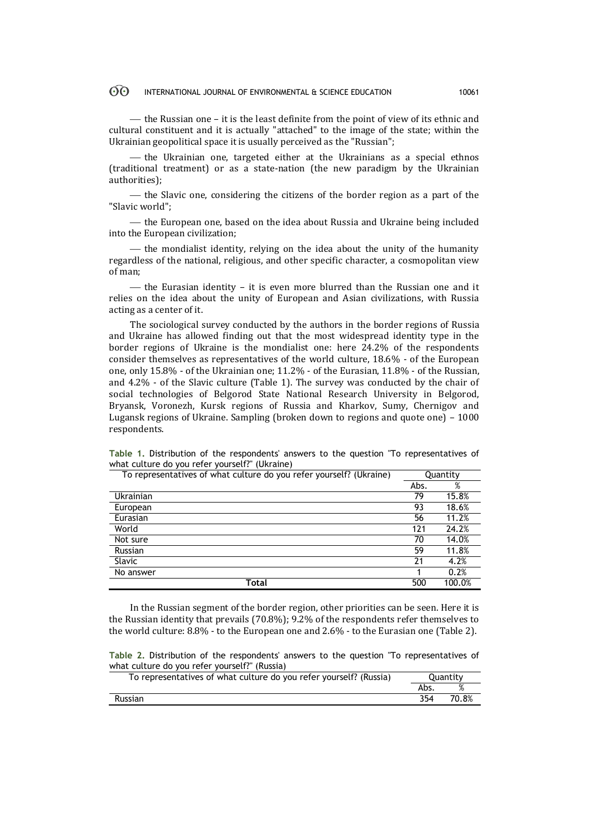### $\odot$ INTERNATIONAL JOURNAL OF ENVIRONMENTAL & SCIENCE EDUCATION 10061

— the Russian one – it is the least definite from the point of view of its ethnic and cultural constituent and it is actually "attached" to the image of the state; within the Ukrainian geopolitical space it is usually perceived as the "Russian";

- the Ukrainian one, targeted either at the Ukrainians as a special ethnos (traditional treatment) or as a state-nation (the new paradigm by the Ukrainian authorities);

 $\theta$  the Slavic one, considering the citizens of the border region as a part of the "Slavic world";

 the European one, based on the idea about Russia and Ukraine being included into the European civilization;

- the mondialist identity, relying on the idea about the unity of the humanity regardless of the national, religious, and other specific character, a cosmopolitan view of man;

— the Eurasian identity – it is even more blurred than the Russian one and it relies on the idea about the unity of European and Asian civilizations, with Russia acting as a center of it.

The sociological survey conducted by the authors in the border regions of Russia and Ukraine has allowed finding out that the most widespread identity type in the border regions of Ukraine is the mondialist one: here 24.2% of the respondents consider themselves as representatives of the world culture, 18.6% - of the European one, only 15.8% - of the Ukrainian one; 11.2% - of the Eurasian, 11.8% - of the Russian, and 4.2% - of the Slavic culture (Table 1). The survey was conducted by the chair of social technologies of Belgorod State National Research University in Belgorod, Bryansk, Voronezh, Kursk regions of Russia and Kharkov, Sumy, Chernigov and Lugansk regions of Ukraine. Sampling (broken down to regions and quote one) – 1000 respondents.

| To representatives of what culture do you refer yourself? (Ukraine) |      | Quantity |
|---------------------------------------------------------------------|------|----------|
|                                                                     | Abs. | %        |
| Ukrainian                                                           | 79   | 15.8%    |
| European                                                            | 93   | 18.6%    |
| Eurasian                                                            | 56   | 11.2%    |
| World                                                               | 121  | 24.2%    |
| Not sure                                                            | 70   | 14.0%    |
| Russian                                                             | 59   | 11.8%    |
| <b>Slavic</b>                                                       | 21   | 4.2%     |
| No answer                                                           |      | 0.2%     |
| Total                                                               | 500  | 100.0%   |

**Table 1.** Distribution of the respondents' answers to the question "To representatives of what culture do you refer yourself?" (Ukraine)

In the Russian segment of the border region, other priorities can be seen. Here it is the Russian identity that prevails (70.8%); 9.2% of the respondents refer themselves to the world culture: 8.8% - to the European one and 2.6% - to the Eurasian one (Table 2).

**Table 2.** Distribution of the respondents' answers to the question "To representatives of what culture do you refer yourself?" (Russia)

| To representatives of what culture do you refer yourself? (Russia) | Quantity |       |
|--------------------------------------------------------------------|----------|-------|
|                                                                    | Abs.     |       |
| <b>Russian</b>                                                     | 354      | 70.8% |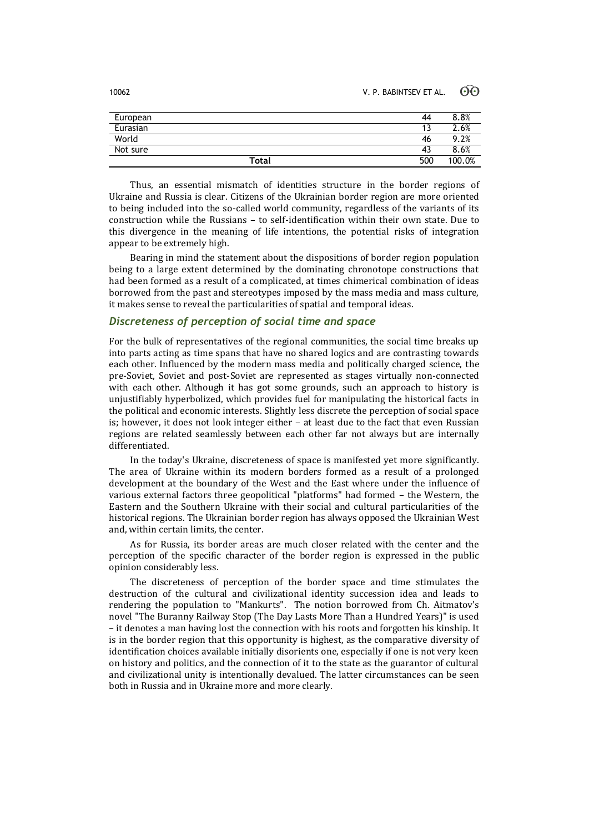10062 V. P. BABINTSEV ET AL. 60

| European | 44  | 8.8%<br>$\circ$ |
|----------|-----|-----------------|
| Eurasian |     | 2.6%            |
| World    | 46  | .2%<br>Q        |
| Not sure | 43  | 8.6%            |
| Total    | 500 | 1 በበ<br>.0%     |

Thus, an essential mismatch of identities structure in the border regions of Ukraine and Russia is clear. Citizens of the Ukrainian border region are more oriented to being included into the so-called world community, regardless of the variants of its construction while the Russians – to self-identification within their own state. Due to this divergence in the meaning of life intentions, the potential risks of integration appear to be extremely high.

Bearing in mind the statement about the dispositions of border region population being to a large extent determined by the dominating chronotope constructions that had been formed as a result of a complicated, at times chimerical combination of ideas borrowed from the past and stereotypes imposed by the mass media and mass culture, it makes sense to reveal the particularities of spatial and temporal ideas.

## *Discreteness of perception of social time and space*

For the bulk of representatives of the regional communities, the social time breaks up into parts acting as time spans that have no shared logics and are contrasting towards each other. Influenced by the modern mass media and politically charged science, the pre-Soviet, Soviet and post-Soviet are represented as stages virtually non-connected with each other. Although it has got some grounds, such an approach to history is unjustifiably hyperbolized, which provides fuel for manipulating the historical facts in the political and economic interests. Slightly less discrete the perception of social space is; however, it does not look integer either – at least due to the fact that even Russian regions are related seamlessly between each other far not always but are internally differentiated.

In the today's Ukraine, discreteness of space is manifested yet more significantly. The area of Ukraine within its modern borders formed as a result of a prolonged development at the boundary of the West and the East where under the influence of various external factors three geopolitical "platforms" had formed – the Western, the Eastern and the Southern Ukraine with their social and cultural particularities of the historical regions. The Ukrainian border region has always opposed the Ukrainian West and, within certain limits, the center.

As for Russia, its border areas are much closer related with the center and the perception of the specific character of the border region is expressed in the public opinion considerably less.

The discreteness of perception of the border space and time stimulates the destruction of the cultural and civilizational identity succession idea and leads to rendering the population to "Mankurts". The notion borrowed from Ch. Aitmatov's novel "The Buranny Railway Stop (The Day Lasts More Than a Hundred Years)" is used – it denotes a man having lost the connection with his roots and forgotten his kinship. It is in the border region that this opportunity is highest, as the comparative diversity of identification choices available initially disorients one, especially if one is not very keen on history and politics, and the connection of it to the state as the guarantor of cultural and civilizational unity is intentionally devalued. The latter circumstances can be seen both in Russia and in Ukraine more and more clearly.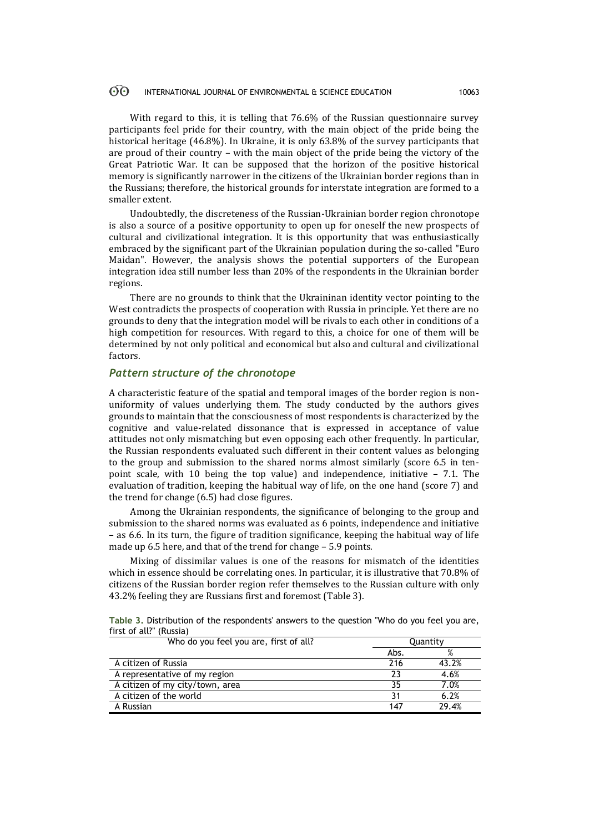### $\odot$ INTERNATIONAL JOURNAL OF ENVIRONMENTAL & SCIENCE EDUCATION 10063

With regard to this, it is telling that 76.6% of the Russian questionnaire survey participants feel pride for their country, with the main object of the pride being the historical heritage (46.8%). In Ukraine, it is only 63.8% of the survey participants that are proud of their country – with the main object of the pride being the victory of the Great Patriotic War. It can be supposed that the horizon of the positive historical memory is significantly narrower in the citizens of the Ukrainian border regions than in the Russians; therefore, the historical grounds for interstate integration are formed to a smaller extent.

Undoubtedly, the discreteness of the Russian-Ukrainian border region chronotope is also a source of a positive opportunity to open up for oneself the new prospects of cultural and civilizational integration. It is this opportunity that was enthusiastically embraced by the significant part of the Ukrainian population during the so-called "Euro Maidan". However, the analysis shows the potential supporters of the European integration idea still number less than 20% of the respondents in the Ukrainian border regions.

There are no grounds to think that the Ukraininan identity vector pointing to the West contradicts the prospects of cooperation with Russia in principle. Yet there are no grounds to deny that the integration model will be rivals to each other in conditions of a high competition for resources. With regard to this, a choice for one of them will be determined by not only political and economical but also and cultural and civilizational factors.

## *Pattern structure of the chronotope*

A characteristic feature of the spatial and temporal images of the border region is nonuniformity of values underlying them. The study conducted by the authors gives grounds to maintain that the consciousness of most respondents is characterized by the cognitive and value-related dissonance that is expressed in acceptance of value attitudes not only mismatching but even opposing each other frequently. In particular, the Russian respondents evaluated such different in their content values as belonging to the group and submission to the shared norms almost similarly (score 6.5 in tenpoint scale, with 10 being the top value) and independence, initiative – 7.1. The evaluation of tradition, keeping the habitual way of life, on the one hand (score 7) and the trend for change (6.5) had close figures.

Among the Ukrainian respondents, the significance of belonging to the group and submission to the shared norms was evaluated as 6 points, independence and initiative – as 6.6. In its turn, the figure of tradition significance, keeping the habitual way of life made up 6.5 here, and that of the trend for change – 5.9 points.

Mixing of dissimilar values is one of the reasons for mismatch of the identities which in essence should be correlating ones. In particular, it is illustrative that 70.8% of citizens of the Russian border region refer themselves to the Russian culture with only 43.2% feeling they are Russians first and foremost (Table 3).

| Table 3. Distribution of the respondents' answers to the question "Who do you feel you are, |  |  |  |
|---------------------------------------------------------------------------------------------|--|--|--|
| first of all?" (Russia)                                                                     |  |  |  |

| Who do you feel you are, first of all? | Quantity |       |  |
|----------------------------------------|----------|-------|--|
|                                        | Abs.     | %     |  |
| A citizen of Russia                    | 216      | 43.2% |  |
| A representative of my region          | 23       | 4.6%  |  |
| A citizen of my city/town, area        | 35       | 7.0%  |  |
| A citizen of the world                 | 31       | 6.2%  |  |
| A Russian                              | 147      | 29.4% |  |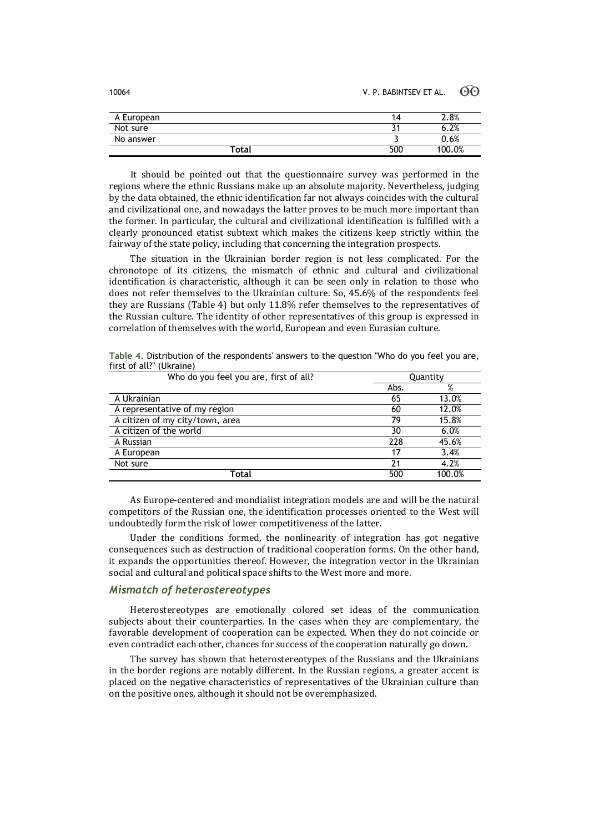| A European  | 14  | 2.8%   |
|-------------|-----|--------|
| Not sure    | J   | 6.2%   |
| No answer   |     | 0.6%   |
| $\tau$ otal | 500 | 100.0% |

It should be pointed out that the questionnaire survey was performed in the regions where the ethnic Russians make up an absolute majority. Nevertheless, judging by the data obtained, the ethnic identification far not always coincides with the cultural and civilizational one, and nowadays the latter proves to be much more important than the former. In particular, the cultural and civilizational identification is fulfilled with a clearly pronounced etatist subtext which makes the citizens keep strictly within the fairway of the state policy, including that concerning the integration prospects.

The situation in the Ukrainian border region is not less complicated. For the chronotope of its citizens, the mismatch of ethnic and cultural and civilizational identification is characteristic, although it can be seen only in relation to those who does not refer themselves to the Ukrainian culture. So, 45.6% of the respondents feel they are Russians (Table 4) but only 11.8% refer themselves to the representatives of the Russian culture. The identity of other representatives of this group is expressed in correlation of themselves with the world, European and even Eurasian culture.

| Who do you feel you are, first of all? | Quantity |        |  |
|----------------------------------------|----------|--------|--|
|                                        | Abs.     | %      |  |
| A Ukrainian                            | 65       | 13.0%  |  |
| A representative of my region          | 60       | 12.0%  |  |
| A citizen of my city/town, area        | 79       | 15.8%  |  |
| A citizen of the world                 | 30       | 6.0%   |  |
| A Russian                              | 228      | 45.6%  |  |
| A European                             | 17       | 3.4%   |  |
| Not sure                               | 21       | 4.2%   |  |
| Total                                  | 500      | 100.0% |  |

**Table 4.** Distribution of the respondents' answers to the question "Who do you feel you are, first of all?" (Ukraine)

As Europe-centered and mondialist integration models are and will be the natural competitors of the Russian one, the identification processes oriented to the West will undoubtedly form the risk of lower competitiveness of the latter.

Under the conditions formed, the nonlinearity of integration has got negative consequences such as destruction of traditional cooperation forms. On the other hand, it expands the opportunities thereof. However, the integration vector in the Ukrainian social and cultural and political space shifts to the West more and more.

## *Mismatch of heterostereotypes*

Heterostereotypes are emotionally colored set ideas of the communication subjects about their counterparties. In the cases when they are complementary, the favorable development of cooperation can be expected. When they do not coincide or even contradict each other, chances for success of the cooperation naturally go down.

The survey has shown that heterostereotypes of the Russians and the Ukrainians in the border regions are notably different. In the Russian regions, a greater accent is placed on the negative characteristics of representatives of the Ukrainian culture than on the positive ones, although it should not be overemphasized.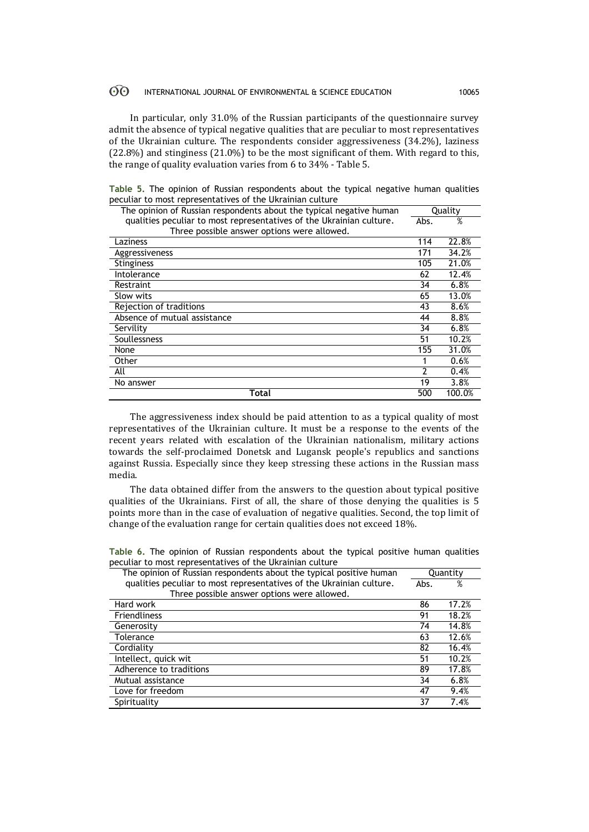#### $\odot$ INTERNATIONAL JOURNAL OF ENVIRONMENTAL & SCIENCE EDUCATION 10065

In particular, only 31.0% of the Russian participants of the questionnaire survey admit the absence of typical negative qualities that are peculiar to most representatives of the Ukrainian culture. The respondents consider aggressiveness (34.2%), laziness (22.8%) and stinginess (21.0%) to be the most significant of them. With regard to this, the range of quality evaluation varies from 6 to 34% - Table 5.

|  |  |  | Table 5. The opinion of Russian respondents about the typical negative human qualities |  |  |  |
|--|--|--|----------------------------------------------------------------------------------------|--|--|--|
|  |  |  | peculiar to most representatives of the Ukrainian culture                              |  |  |  |

| The opinion of Russian respondents about the typical negative human  |      | Quality |
|----------------------------------------------------------------------|------|---------|
| qualities peculiar to most representatives of the Ukrainian culture. | Abs. | %       |
| Three possible answer options were allowed.                          |      |         |
| Laziness                                                             | 114  | 22.8%   |
| Aggressiveness                                                       | 171  | 34.2%   |
| <b>Stinginess</b>                                                    | 105  | 21.0%   |
| Intolerance                                                          | 62   | 12.4%   |
| Restraint                                                            | 34   | 6.8%    |
| Slow wits                                                            | 65   | 13.0%   |
| Rejection of traditions                                              | 43   | 8.6%    |
| Absence of mutual assistance                                         | 44   | 8.8%    |
| Servility                                                            | 34   | 6.8%    |
| Soullessness                                                         | 51   | 10.2%   |
| None                                                                 | 155  | 31.0%   |
| Other                                                                |      | 0.6%    |
| All                                                                  | 2    | 0.4%    |
| No answer                                                            | 19   | 3.8%    |
| Total                                                                | 500  | 100.0%  |

The aggressiveness index should be paid attention to as a typical quality of most representatives of the Ukrainian culture. It must be a response to the events of the recent years related with escalation of the Ukrainian nationalism, military actions towards the self-proclaimed Donetsk and Lugansk people's republics and sanctions against Russia. Especially since they keep stressing these actions in the Russian mass media.

The data obtained differ from the answers to the question about typical positive qualities of the Ukrainians. First of all, the share of those denying the qualities is 5 points more than in the case of evaluation of negative qualities. Second, the top limit of change of the evaluation range for certain qualities does not exceed 18%.

**Table 6.** The opinion of Russian respondents about the typical positive human qualities peculiar to most representatives of the Ukrainian culture

| The opinion of Russian respondents about the typical positive human  |      | Quantity |
|----------------------------------------------------------------------|------|----------|
| qualities peculiar to most representatives of the Ukrainian culture. | Abs. | %        |
| Three possible answer options were allowed.                          |      |          |
| Hard work                                                            | 86   | 17.2%    |
| <b>Friendliness</b>                                                  | 91   | 18.2%    |
| Generosity                                                           | 74   | 14.8%    |
| Tolerance                                                            | 63   | 12.6%    |
| Cordiality                                                           | 82   | 16.4%    |
| Intellect, quick wit                                                 | 51   | 10.2%    |
| Adherence to traditions                                              | 89   | 17.8%    |
| Mutual assistance                                                    | 34   | 6.8%     |
| Love for freedom                                                     | 47   | 9.4%     |
| Spirituality                                                         | 37   | 7.4%     |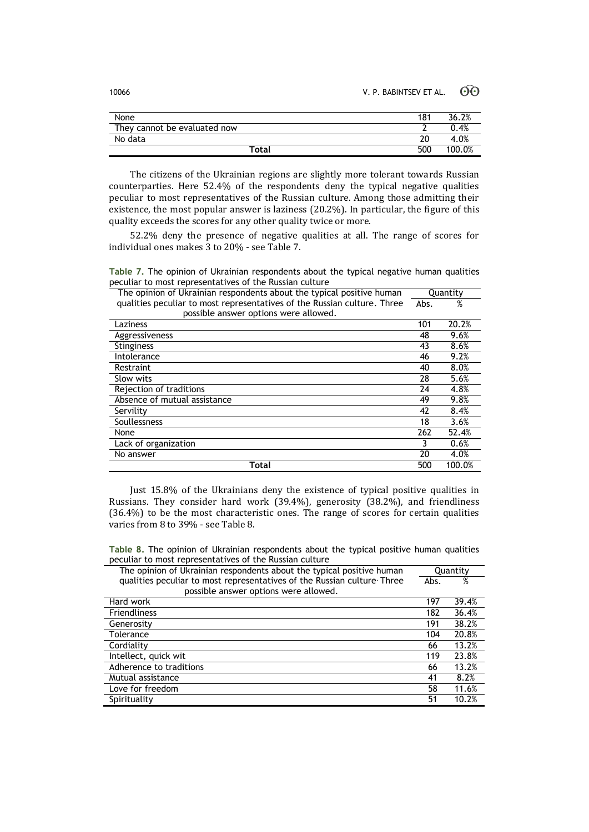| 10066 | V. P. BABINTSEV ET AL. $\odot$ O |  |
|-------|----------------------------------|--|
|       |                                  |  |

| None                         | 181 | 36.2%  |
|------------------------------|-----|--------|
| They cannot be evaluated now |     | 0.4%   |
| No data                      | 20  | 4.0%   |
| Total                        | 500 | 100.0% |

The citizens of the Ukrainian regions are slightly more tolerant towards Russian counterparties. Here 52.4% of the respondents deny the typical negative qualities peculiar to most representatives of the Russian culture. Among those admitting their existence, the most popular answer is laziness (20.2%). In particular, the figure of this quality exceeds the scores for any other quality twice or more.

52.2% deny the presence of negative qualities at all. The range of scores for individual ones makes 3 to 20% - see Table 7.

**Table 7.** The opinion of Ukrainian respondents about the typical negative human qualities peculiar to most representatives of the Russian culture

| The opinion of Ukrainian respondents about the typical positive human    | Quantity |        |
|--------------------------------------------------------------------------|----------|--------|
| qualities peculiar to most representatives of the Russian culture. Three | Abs.     | %      |
| possible answer options were allowed.                                    |          |        |
| Laziness                                                                 | 101      | 20.2%  |
| <b>Aggressiveness</b>                                                    | 48       | 9.6%   |
| <b>Stinginess</b>                                                        | 43       | 8.6%   |
| Intolerance                                                              | 46       | 9.2%   |
| Restraint                                                                | 40       | 8.0%   |
| Slow wits                                                                | 28       | 5.6%   |
| Rejection of traditions                                                  | 24       | 4.8%   |
| Absence of mutual assistance                                             | 49       | 9.8%   |
| Servility                                                                | 42       | 8.4%   |
| Soullessness                                                             | 18       | 3.6%   |
| None                                                                     | 262      | 52.4%  |
| Lack of organization                                                     |          | 0.6%   |
| No answer                                                                | 20       | 4.0%   |
| Total                                                                    | 500      | 100.0% |

Just 15.8% of the Ukrainians deny the existence of typical positive qualities in Russians. They consider hard work (39.4%), generosity (38.2%), and friendliness (36.4%) to be the most characteristic ones. The range of scores for certain qualities varies from 8 to 39% - see Table 8.

**Table 8.** The opinion of Ukrainian respondents about the typical positive human qualities peculiar to most representatives of the Russian culture

| The opinion of Ukrainian respondents about the typical positive human   | Quantity |       |
|-------------------------------------------------------------------------|----------|-------|
| qualities peculiar to most representatives of the Russian culture Three | Abs.     | %     |
| possible answer options were allowed.                                   |          |       |
| Hard work                                                               | 197      | 39.4% |
| <b>Friendliness</b>                                                     | 182      | 36.4% |
| Generosity                                                              | 191      | 38.2% |
| Tolerance                                                               | 104      | 20.8% |
| Cordiality                                                              | 66       | 13.2% |
| Intellect, quick wit                                                    | 119      | 23.8% |
| Adherence to traditions                                                 | 66       | 13.2% |
| Mutual assistance                                                       | 41       | 8.2%  |
| Love for freedom                                                        | 58       | 11.6% |
| Spirituality                                                            | 51       | 10.2% |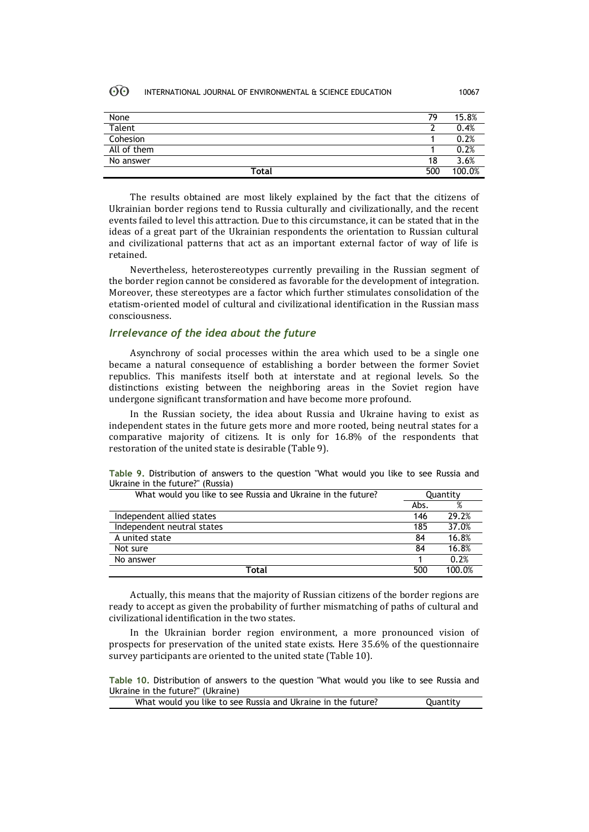### **ගි** INTERNATIONAL JOURNAL OF ENVIRONMENTAL & SCIENCE EDUCATION 10067

| None        | 79  | 15.8%  |
|-------------|-----|--------|
| Talent      |     | 0.4%   |
| Cohesion    |     | 0.2%   |
| All of them |     | 0.2%   |
| No answer   | 18  | 3.6%   |
| Total       | 500 | 100.0% |

The results obtained are most likely explained by the fact that the citizens of Ukrainian border regions tend to Russia culturally and civilizationally, and the recent events failed to level this attraction. Due to this circumstance, it can be stated that in the ideas of a great part of the Ukrainian respondents the orientation to Russian cultural and civilizational patterns that act as an important external factor of way of life is retained.

Nevertheless, heterostereotypes currently prevailing in the Russian segment of the border region cannot be considered as favorable for the development of integration. Moreover, these stereotypes are a factor which further stimulates consolidation of the etatism-oriented model of cultural and civilizational identification in the Russian mass consciousness.

## *Irrelevance of the idea about the future*

Asynchrony of social processes within the area which used to be a single one became a natural consequence of establishing a border between the former Soviet republics. This manifests itself both at interstate and at regional levels. So the distinctions existing between the neighboring areas in the Soviet region have undergone significant transformation and have become more profound.

In the Russian society, the idea about Russia and Ukraine having to exist as independent states in the future gets more and more rooted, being neutral states for a comparative majority of citizens. It is only for 16.8% of the respondents that restoration of the united state is desirable (Table 9).

| What would you like to see Russia and Ukraine in the future? |      | Quantity |  |
|--------------------------------------------------------------|------|----------|--|
|                                                              | Abs. |          |  |
| Independent allied states                                    | 146  | 29.2%    |  |
| Independent neutral states                                   | 185  | 37.0%    |  |
| A united state                                               | 84   | 16.8%    |  |
| Not sure                                                     | 84   | 16.8%    |  |
| No answer                                                    |      | 0.2%     |  |

**Table 9.** Distribution of answers to the question "What would you like to see Russia and Ukraine in the future?" (Russia)

Actually, this means that the majority of Russian citizens of the border regions are ready to accept as given the probability of further mismatching of paths of cultural and civilizational identification in the two states.

**Total** 500 100.0%

In the Ukrainian border region environment, a more pronounced vision of prospects for preservation of the united state exists. Here 35.6% of the questionnaire survey participants are oriented to the united state (Table 10).

**Table 10.** Distribution of answers to the question "What would you like to see Russia and Ukraine in the future?" (Ukraine)

| What would you like to see Russia and Ukraine in the future? | Quantity |
|--------------------------------------------------------------|----------|
|                                                              |          |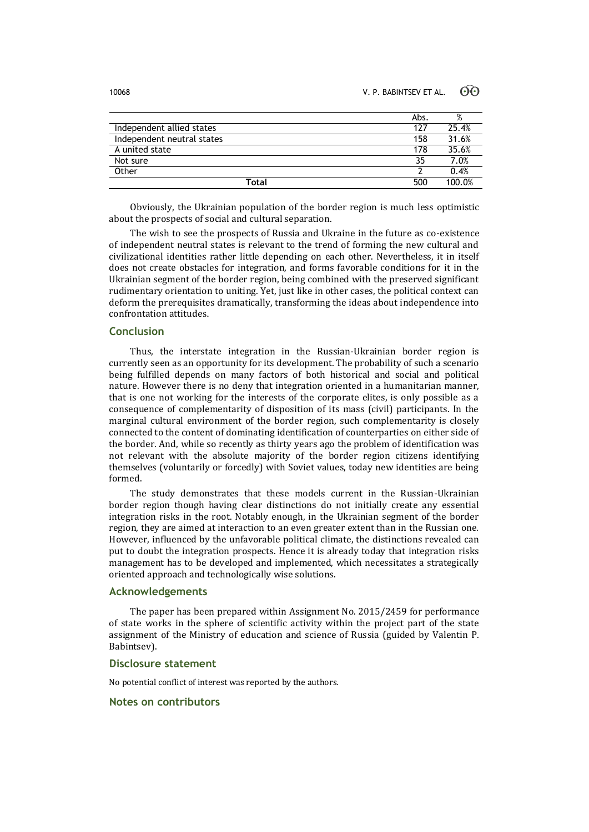|                            | Abs. | %      |
|----------------------------|------|--------|
| Independent allied states  | 127  | 25.4%  |
| Independent neutral states | 158  | 31.6%  |
| A united state             | 178  | 35.6%  |
| Not sure                   | 35   | 7.0%   |
| Other                      |      | 0.4%   |
| Total                      | 500  | 100.0% |

Obviously, the Ukrainian population of the border region is much less optimistic about the prospects of social and cultural separation.

The wish to see the prospects of Russia and Ukraine in the future as co-existence of independent neutral states is relevant to the trend of forming the new cultural and civilizational identities rather little depending on each other. Nevertheless, it in itself does not create obstacles for integration, and forms favorable conditions for it in the Ukrainian segment of the border region, being combined with the preserved significant rudimentary orientation to uniting. Yet, just like in other cases, the political context can deform the prerequisites dramatically, transforming the ideas about independence into confrontation attitudes.

## **Conclusion**

Thus, the interstate integration in the Russian-Ukrainian border region is currently seen as an opportunity for its development. The probability of such a scenario being fulfilled depends on many factors of both historical and social and political nature. However there is no deny that integration oriented in a humanitarian manner, that is one not working for the interests of the corporate elites, is only possible as a consequence of complementarity of disposition of its mass (civil) participants. In the marginal cultural environment of the border region, such complementarity is closely connected to the content of dominating identification of counterparties on either side of the border. And, while so recently as thirty years ago the problem of identification was not relevant with the absolute majority of the border region citizens identifying themselves (voluntarily or forcedly) with Soviet values, today new identities are being formed.

The study demonstrates that these models current in the Russian-Ukrainian border region though having clear distinctions do not initially create any essential integration risks in the root. Notably enough, in the Ukrainian segment of the border region, they are aimed at interaction to an even greater extent than in the Russian one. However, influenced by the unfavorable political climate, the distinctions revealed can put to doubt the integration prospects. Hence it is already today that integration risks management has to be developed and implemented, which necessitates a strategically oriented approach and technologically wise solutions.

## **Acknowledgements**

The paper has been prepared within Assignment No. 2015/2459 for performance of state works in the sphere of scientific activity within the project part of the state assignment of the Ministry of education and science of Russia (guided by Valentin P. Babintsev).

## **Disclosure statement**

No potential conflict of interest was reported by the authors.

## **Notes on contributors**